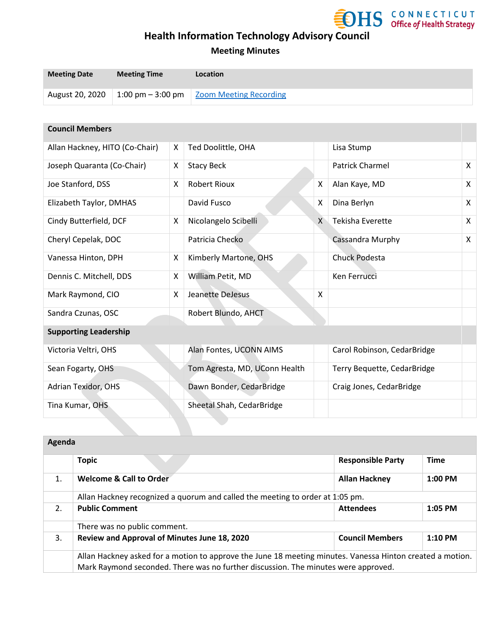

### **Meeting Minutes**

| <b>Meeting Date</b> | <b>Meeting Time</b> | <b>Location</b>                                        |
|---------------------|---------------------|--------------------------------------------------------|
| August 20, 2020     |                     | $\mid$ 1:00 pm – 3:00 pm $\mid$ Zoom Meeting Recording |

#### **Council Members**

| Allan Hackney, HITO (Co-Chair) | X | Ted Doolittle, OHA            |   | Lisa Stump                  |   |
|--------------------------------|---|-------------------------------|---|-----------------------------|---|
| Joseph Quaranta (Co-Chair)     | X | <b>Stacy Beck</b>             |   | <b>Patrick Charmel</b>      | X |
| Joe Stanford, DSS              | X | <b>Robert Rioux</b>           | X | Alan Kaye, MD               | X |
| Elizabeth Taylor, DMHAS        |   | David Fusco                   | X | Dina Berlyn                 | X |
| Cindy Butterfield, DCF         | X | Nicolangelo Scibelli          | X | Tekisha Everette            | X |
| Cheryl Cepelak, DOC            |   | Patricia Checko               |   | Cassandra Murphy            | X |
| Vanessa Hinton, DPH            | X | Kimberly Martone, OHS         |   | <b>Chuck Podesta</b>        |   |
| Dennis C. Mitchell, DDS        | X | William Petit, MD             |   | Ken Ferrucci                |   |
| Mark Raymond, CIO              | X | Jeanette DeJesus              | X |                             |   |
| Sandra Czunas, OSC             |   | Robert Blundo, AHCT           |   |                             |   |
| <b>Supporting Leadership</b>   |   |                               |   |                             |   |
| Victoria Veltri, OHS           |   | Alan Fontes, UCONN AIMS       |   | Carol Robinson, CedarBridge |   |
| Sean Fogarty, OHS              |   | Tom Agresta, MD, UConn Health |   | Terry Bequette, CedarBridge |   |
| Adrian Texidor, OHS            |   | Dawn Bonder, CedarBridge      |   | Craig Jones, CedarBridge    |   |
| Tina Kumar, OHS                |   | Sheetal Shah, CedarBridge     |   |                             |   |
|                                |   |                               |   |                             |   |

| Agenda |                                                                                                                                                                                                 |                          |             |
|--------|-------------------------------------------------------------------------------------------------------------------------------------------------------------------------------------------------|--------------------------|-------------|
|        | <b>Topic</b>                                                                                                                                                                                    | <b>Responsible Party</b> | <b>Time</b> |
| 1.     | <b>Welcome &amp; Call to Order</b>                                                                                                                                                              | <b>Allan Hackney</b>     | $1:00$ PM   |
|        | Allan Hackney recognized a quorum and called the meeting to order at 1:05 pm.                                                                                                                   |                          |             |
| 2.     | <b>Public Comment</b>                                                                                                                                                                           | <b>Attendees</b>         | $1:05$ PM   |
|        | There was no public comment.                                                                                                                                                                    |                          |             |
| 3.     | Review and Approval of Minutes June 18, 2020                                                                                                                                                    | <b>Council Members</b>   | $1:10$ PM   |
|        | Allan Hackney asked for a motion to approve the June 18 meeting minutes. Vanessa Hinton created a motion.<br>Mark Raymond seconded. There was no further discussion. The minutes were approved. |                          |             |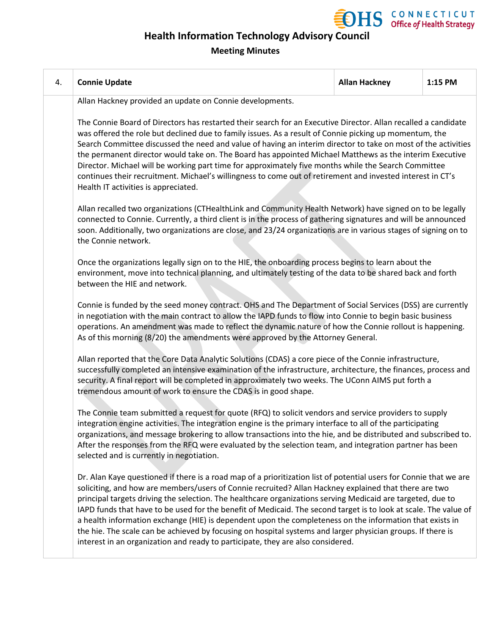

### **Meeting Minutes**

| 4. | <b>Connie Update</b>                                                                                                                                                                                                                                                                                                                                                                                                                                                                                                                                                                                                                                                                                                                                                         | <b>Allan Hackney</b> | 1:15 PM |  |
|----|------------------------------------------------------------------------------------------------------------------------------------------------------------------------------------------------------------------------------------------------------------------------------------------------------------------------------------------------------------------------------------------------------------------------------------------------------------------------------------------------------------------------------------------------------------------------------------------------------------------------------------------------------------------------------------------------------------------------------------------------------------------------------|----------------------|---------|--|
|    | Allan Hackney provided an update on Connie developments.                                                                                                                                                                                                                                                                                                                                                                                                                                                                                                                                                                                                                                                                                                                     |                      |         |  |
|    | The Connie Board of Directors has restarted their search for an Executive Director. Allan recalled a candidate<br>was offered the role but declined due to family issues. As a result of Connie picking up momentum, the<br>Search Committee discussed the need and value of having an interim director to take on most of the activities<br>the permanent director would take on. The Board has appointed Michael Matthews as the interim Executive<br>Director. Michael will be working part time for approximately five months while the Search Committee<br>continues their recruitment. Michael's willingness to come out of retirement and invested interest in CT's<br>Health IT activities is appreciated.                                                           |                      |         |  |
|    | Allan recalled two organizations (CTHealthLink and Community Health Network) have signed on to be legally<br>connected to Connie. Currently, a third client is in the process of gathering signatures and will be announced<br>soon. Additionally, two organizations are close, and 23/24 organizations are in various stages of signing on to<br>the Connie network.                                                                                                                                                                                                                                                                                                                                                                                                        |                      |         |  |
|    | Once the organizations legally sign on to the HIE, the onboarding process begins to learn about the<br>environment, move into technical planning, and ultimately testing of the data to be shared back and forth<br>between the HIE and network.                                                                                                                                                                                                                                                                                                                                                                                                                                                                                                                             |                      |         |  |
|    | Connie is funded by the seed money contract. OHS and The Department of Social Services (DSS) are currently<br>in negotiation with the main contract to allow the IAPD funds to flow into Connie to begin basic business<br>operations. An amendment was made to reflect the dynamic nature of how the Connie rollout is happening.<br>As of this morning (8/20) the amendments were approved by the Attorney General.                                                                                                                                                                                                                                                                                                                                                        |                      |         |  |
|    | Allan reported that the Core Data Analytic Solutions (CDAS) a core piece of the Connie infrastructure,<br>successfully completed an intensive examination of the infrastructure, architecture, the finances, process and<br>security. A final report will be completed in approximately two weeks. The UConn AIMS put forth a<br>tremendous amount of work to ensure the CDAS is in good shape.                                                                                                                                                                                                                                                                                                                                                                              |                      |         |  |
|    | The Connie team submitted a request for quote (RFQ) to solicit vendors and service providers to supply<br>integration engine activities. The integration engine is the primary interface to all of the participating<br>organizations, and message brokering to allow transactions into the hie, and be distributed and subscribed to.<br>After the responses from the RFQ were evaluated by the selection team, and integration partner has been<br>selected and is currently in negotiation.                                                                                                                                                                                                                                                                               |                      |         |  |
|    | Dr. Alan Kaye questioned if there is a road map of a prioritization list of potential users for Connie that we are<br>soliciting, and how are members/users of Connie recruited? Allan Hackney explained that there are two<br>principal targets driving the selection. The healthcare organizations serving Medicaid are targeted, due to<br>IAPD funds that have to be used for the benefit of Medicaid. The second target is to look at scale. The value of<br>a health information exchange (HIE) is dependent upon the completeness on the information that exists in<br>the hie. The scale can be achieved by focusing on hospital systems and larger physician groups. If there is<br>interest in an organization and ready to participate, they are also considered. |                      |         |  |
|    |                                                                                                                                                                                                                                                                                                                                                                                                                                                                                                                                                                                                                                                                                                                                                                              |                      |         |  |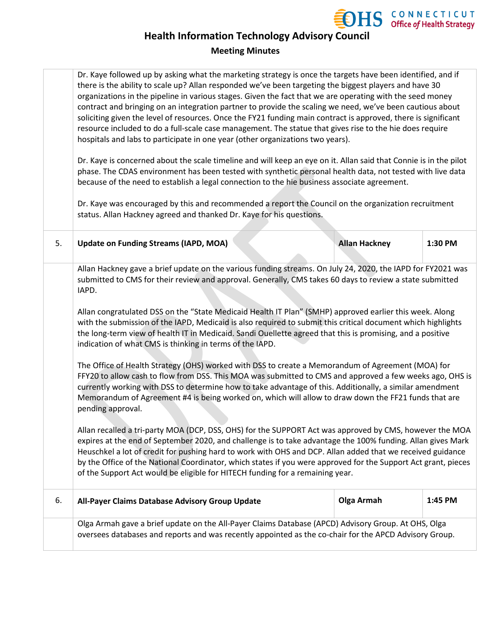

### **Meeting Minutes**

|    | Dr. Kaye followed up by asking what the marketing strategy is once the targets have been identified, and if<br>there is the ability to scale up? Allan responded we've been targeting the biggest players and have 30<br>organizations in the pipeline in various stages. Given the fact that we are operating with the seed money<br>contract and bringing on an integration partner to provide the scaling we need, we've been cautious about<br>soliciting given the level of resources. Once the FY21 funding main contract is approved, there is significant<br>resource included to do a full-scale case management. The statue that gives rise to the hie does require<br>hospitals and labs to participate in one year (other organizations two years).<br>Dr. Kaye is concerned about the scale timeline and will keep an eye on it. Allan said that Connie is in the pilot<br>phase. The CDAS environment has been tested with synthetic personal health data, not tested with live data<br>because of the need to establish a legal connection to the hie business associate agreement.<br>Dr. Kaye was encouraged by this and recommended a report the Council on the organization recruitment<br>status. Allan Hackney agreed and thanked Dr. Kaye for his questions.                                                                                                                                                                                                                                                                                                                                                         |                      |         |  |
|----|--------------------------------------------------------------------------------------------------------------------------------------------------------------------------------------------------------------------------------------------------------------------------------------------------------------------------------------------------------------------------------------------------------------------------------------------------------------------------------------------------------------------------------------------------------------------------------------------------------------------------------------------------------------------------------------------------------------------------------------------------------------------------------------------------------------------------------------------------------------------------------------------------------------------------------------------------------------------------------------------------------------------------------------------------------------------------------------------------------------------------------------------------------------------------------------------------------------------------------------------------------------------------------------------------------------------------------------------------------------------------------------------------------------------------------------------------------------------------------------------------------------------------------------------------------------------------------------------------------------------------------------------|----------------------|---------|--|
| 5. | <b>Update on Funding Streams (IAPD, MOA)</b>                                                                                                                                                                                                                                                                                                                                                                                                                                                                                                                                                                                                                                                                                                                                                                                                                                                                                                                                                                                                                                                                                                                                                                                                                                                                                                                                                                                                                                                                                                                                                                                               | <b>Allan Hackney</b> | 1:30 PM |  |
|    | Allan Hackney gave a brief update on the various funding streams. On July 24, 2020, the IAPD for FY2021 was<br>submitted to CMS for their review and approval. Generally, CMS takes 60 days to review a state submitted<br>IAPD.<br>Allan congratulated DSS on the "State Medicaid Health IT Plan" (SMHP) approved earlier this week. Along<br>with the submission of the IAPD, Medicaid is also required to submit this critical document which highlights<br>the long-term view of health IT in Medicaid. Sandi Ouellette agreed that this is promising, and a positive<br>indication of what CMS is thinking in terms of the IAPD.<br>The Office of Health Strategy (OHS) worked with DSS to create a Memorandum of Agreement (MOA) for<br>FFY20 to allow cash to flow from DSS. This MOA was submitted to CMS and approved a few weeks ago, OHS is<br>currently working with DSS to determine how to take advantage of this. Additionally, a similar amendment<br>Memorandum of Agreement #4 is being worked on, which will allow to draw down the FF21 funds that are<br>pending approval.<br>Allan recalled a tri-party MOA (DCP, DSS, OHS) for the SUPPORT Act was approved by CMS, however the MOA<br>expires at the end of September 2020, and challenge is to take advantage the 100% funding. Allan gives Mark<br>Heuschkel a lot of credit for pushing hard to work with OHS and DCP. Allan added that we received guidance<br>by the Office of the National Coordinator, which states if you were approved for the Support Act grant, pieces<br>of the Support Act would be eligible for HITECH funding for a remaining year. |                      |         |  |
| 6. | All-Payer Claims Database Advisory Group Update                                                                                                                                                                                                                                                                                                                                                                                                                                                                                                                                                                                                                                                                                                                                                                                                                                                                                                                                                                                                                                                                                                                                                                                                                                                                                                                                                                                                                                                                                                                                                                                            | <b>Olga Armah</b>    | 1:45 PM |  |
|    | Olga Armah gave a brief update on the All-Payer Claims Database (APCD) Advisory Group. At OHS, Olga<br>oversees databases and reports and was recently appointed as the co-chair for the APCD Advisory Group.                                                                                                                                                                                                                                                                                                                                                                                                                                                                                                                                                                                                                                                                                                                                                                                                                                                                                                                                                                                                                                                                                                                                                                                                                                                                                                                                                                                                                              |                      |         |  |